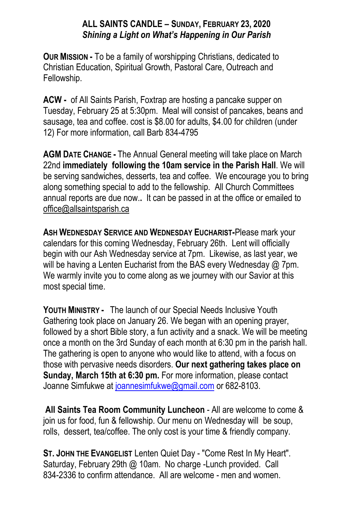## **ALL SAINTS CANDLE – SUNDAY, FEBRUARY 23, 2020** *Shining a Light on What's Happening in Our Parish*

**OUR MISSION -** To be a family of worshipping Christians, dedicated to Christian Education, Spiritual Growth, Pastoral Care, Outreach and Fellowship.

**ACW -** of All Saints Parish, Foxtrap are hosting a pancake supper on Tuesday, February 25 at 5:30pm. Meal will consist of pancakes, beans and sausage, tea and coffee. cost is \$8.00 for adults, \$4.00 for children (under 12) For more information, call Barb 834-4795

**AGM DATE CHANGE -** The Annual General meeting will take place on March 22nd **immediately following the 10am service in the Parish Hall**. We will be serving sandwiches, desserts, tea and coffee. We encourage you to bring along something special to add to the fellowship. All Church Committees annual reports are due now.**.** It can be passed in at the office or emailed to office@allsaintsparish.ca

**ASH WEDNESDAY SERVICE AND WEDNESDAY EUCHARIST-**Please mark your calendars for this coming Wednesday, February 26th. Lent will officially begin with our Ash Wednesday service at 7pm. Likewise, as last year, we will be having a Lenten Eucharist from the BAS every Wednesday @ 7pm. We warmly invite you to come along as we journey with our Savior at this most special time.

**YOUTH MINISTRY -** The launch of our Special Needs Inclusive Youth Gathering took place on January 26. We began with an opening prayer, followed by a short Bible story, a fun activity and a snack. We will be meeting once a month on the 3rd Sunday of each month at 6:30 pm in the parish hall. The gathering is open to anyone who would like to attend, with a focus on those with pervasive needs disorders. **Our next gathering takes place on Sunday, March 15th at 6:30 pm.** For more information, please contact Joanne Simfukwe at [joannesimfukwe@gmail.com](mailto:joannesimfukwe@gmail.com) or 682-8103.

**All Saints Tea Room Community Luncheon** - All are welcome to come & join us for food, fun & fellowship. Our menu on Wednesday will be soup, rolls, dessert, tea/coffee. The only cost is your time & friendly company.

**ST. JOHN THE EVANGELIST** Lenten Quiet Day - "Come Rest In My Heart". Saturday, February 29th @ 10am. No charge -Lunch provided. Call 834-2336 to confirm attendance. All are welcome - men and women.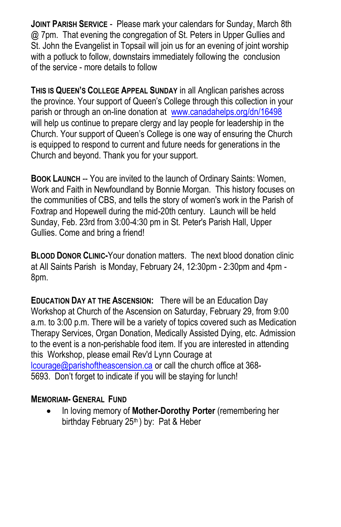**JOINT PARISH SERVICE** - Please mark your calendars for Sunday, March 8th @ 7pm. That evening the congregation of St. Peters in Upper Gullies and St. John the Evangelist in Topsail will join us for an evening of joint worship with a potluck to follow, downstairs immediately following the conclusion of the service - more details to follow

**THIS IS QUEEN'S COLLEGE APPEAL SUNDAY** in all Anglican parishes across the province. Your support of Queen's College through this collection in your parish or through an on-line donation at [www.canadahelps.org/dn/16498](https://www.canadahelps.org/dn/16498) will help us continue to prepare clergy and lay people for leadership in the Church. Your support of Queen's College is one way of ensuring the Church is equipped to respond to current and future needs for generations in the Church and beyond. Thank you for your support.

**BOOK LAUNCH** -- You are invited to the launch of Ordinary Saints: Women, Work and Faith in Newfoundland by Bonnie Morgan. This history focuses on the communities of CBS, and tells the story of women's work in the Parish of Foxtrap and Hopewell during the mid-20th century. Launch will be held Sunday, Feb. 23rd from 3:00-4:30 pm in St. Peter's Parish Hall, Upper Gullies. Come and bring a friend!

**BLOOD DONOR CLINIC-**Your donation matters. The next blood donation clinic at All Saints Parish is Monday, February 24, 12:30pm - 2:30pm and 4pm - 8pm.

**EDUCATION DAY AT THE ASCENSION:** There will be an Education Day Workshop at Church of the Ascension on Saturday, February 29, from 9:00 a.m. to 3:00 p.m. There will be a variety of topics covered such as Medication Therapy Services, Organ Donation, Medically Assisted Dying, etc. Admission to the event is a non-perishable food item. If you are interested in attending this Workshop, please email Rev'd Lynn Courage at [lcourage@parishoftheascension.ca](mailto:lcourage@parishoftheascension.ca) or call the church office at 368- 5693. Don't forget to indicate if you will be staying for lunch!

## **MEMORIAM- GENERAL FUND**

 In loving memory of **Mother-Dorothy Porter** (remembering her birthday February 25<sup>th</sup>) by: Pat & Heber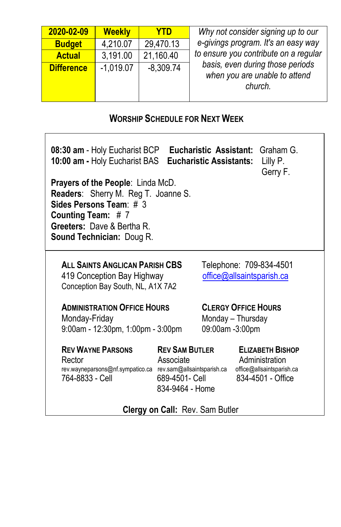| 2020-02-09        | <b>Weekly</b> | YTD         | Why not consider signing up to our                                                                                    |  |
|-------------------|---------------|-------------|-----------------------------------------------------------------------------------------------------------------------|--|
| <b>Budget</b>     | 4,210.07      | 29.470.13   | e-givings program. It's an easy way                                                                                   |  |
| <b>Actual</b>     | 3,191.00      | 21,160.40   | to ensure you contribute on a regular<br>basis, even during those periods<br>when you are unable to attend<br>church. |  |
| <b>Difference</b> | $-1,019.07$   | $-8,309.74$ |                                                                                                                       |  |

## **WORSHIP SCHEDULE FOR NEXT WEEK**

| <b>Eucharistic Assistant: Graham G.</b><br>08:30 am - Holy Eucharist BCP<br>10:00 am - Holy Eucharist BAS<br>Eucharistic Assistants:<br>Lilly P.<br>Gerry F.<br>Prayers of the People: Linda McD.<br><b>Readers:</b> Sherry M. Reg T. Joanne S.<br>Sides Persons Team: $# 3$<br>Counting Team: #7<br>Greeters: Dave & Bertha R.<br><b>Sound Technician: Doug R.</b> |                                                                                                       |  |                                                                                             |  |  |
|---------------------------------------------------------------------------------------------------------------------------------------------------------------------------------------------------------------------------------------------------------------------------------------------------------------------------------------------------------------------|-------------------------------------------------------------------------------------------------------|--|---------------------------------------------------------------------------------------------|--|--|
| ALL SAINTS ANGLICAN PARISH CBS<br>419 Conception Bay Highway<br>Conception Bay South, NL, A1X 7A2                                                                                                                                                                                                                                                                   | Telephone: 709-834-4501<br>office@allsaintsparish.ca                                                  |  |                                                                                             |  |  |
| <b>ADMINISTRATION OFFICE HOURS</b><br>Monday-Friday<br>9:00am - 12:30pm, 1:00pm - 3:00pm                                                                                                                                                                                                                                                                            | <b>CLERGY OFFICE HOURS</b><br>Monday - Thursday<br>09:00am -3:00pm                                    |  |                                                                                             |  |  |
| <b>REV WAYNE PARSONS</b><br>Rector<br>rev.wayneparsons@nf.sympatico.ca<br>764-8833 - Cell                                                                                                                                                                                                                                                                           | <b>REV SAM BUTLER</b><br>Associate<br>rev.sam@allsaintsparish.ca<br>689-4501- Cell<br>834-9464 - Home |  | <b>ELIZABETH BISHOP</b><br>Administration<br>office@allsaintsparish.ca<br>834-4501 - Office |  |  |

## **Clergy on Call:** Rev. Sam Butler